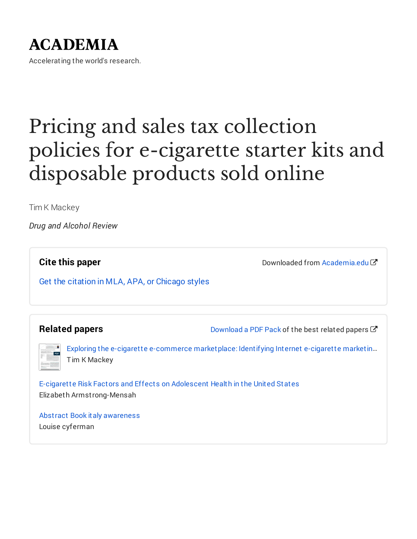# **ACADEMIA**

Accelerating the world's research.

# Pricing and sales tax collection policies for e-cigarette starter kits and disposable products sold online

Tim K Mackey

*Drug and Alcohol Review*

**Cite this paper**

Downloaded from [Academia.edu](https://www.academia.edu/24910979/Pricing_and_sales_tax_collection_policies_for_e_cigarette_starter_kits_and_disposable_products_sold_online?from=cover_page)

Get the citation in MLA, APA, or [Chicago](https://www.academia.edu/24910979/Pricing_and_sales_tax_collection_policies_for_e_cigarette_starter_kits_and_disposable_products_sold_online?auto=citations&from=cover_page) styles

## **Related papers**

[Download](https://www.academia.edu/24910979/Pricing_and_sales_tax_collection_policies_for_e_cigarette_starter_kits_and_disposable_products_sold_online?bulkDownload=thisPaper-topRelated-sameAuthor-citingThis-citedByThis-secondOrderCitations&from=cover_page) a PDF Pack of the best related papers  $C^{\prime}$ 

Exploring the e-cigarette e-commerce [marketplace:](https://www.academia.edu/24910967/Exploring_the_e_cigarette_e_commerce_marketplace_Identifying_Internet_e_cigarette_marketing_characteristics_and_regulatory_gaps?from=cover_page) Identifying Internet e-cigarette marketin… Tim K Mackey

E-cigarette Risk Factors and Effects on [Adolescent](https://www.academia.edu/40997047/E_cigarette_Risk_Factors_and_Effects_on_Adolescent_Health_in_the_United_States?from=cover_page) Health in the United States Elizabeth Armstrong-Mensah

Abstract Book italy [awareness](https://www.academia.edu/37179836/Abstract_Book_italy_awareness?from=cover_page) Louise cyferman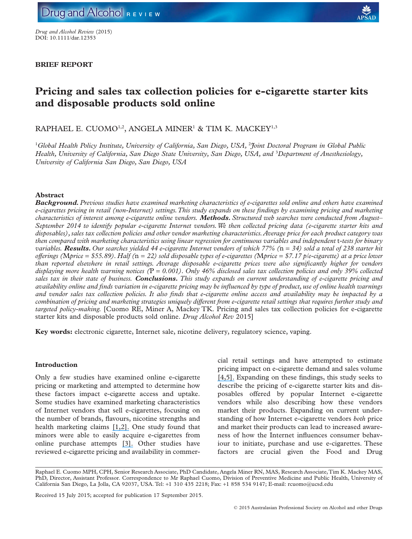*Drug and Alcohol Review* (2015) DOI: 10.1111/dar.12353

#### **BRIEF REPORT**

bs\_bs\_banner

### **Pricing and sales tax collection policies for e-cigarette starter kits and disposable products sold online**

RAPHAEL E. CUOMO<sup>1,2</sup>, ANGELA MINER<sup>1</sup> & TIM K. MACKEY<sup>1,3</sup>

<sup>1</sup>Global Health Policy Institute, University of California, San Diego, USA, <sup>2</sup>Joint Doctoral Program in Global Public *Health, University of California, San Diego State University, San Diego, USA, and* <sup>3</sup>*Department of Anesthesiology, University of California San Diego, San Diego, USA*

#### **Abstract**

*Background. Previous studies have examined marketing characteristics of e-cigarettes sold online and others have examined e-cigarettes pricing in retail (non-Internet) settings.This study expands on these findings by examining pricing and marketing characteristics of interest among e-cigarette online vendors. Methods. Structured web searches were conducted from August– September 2014 to identify popular e-cigarette Internet vendors.We then collected pricing data (e-cigarette starter kits and disposables), sales tax collection policies and other vendor marketing characteristics.Average price for each product category was then compared with marketing characteristics using linear regression for continuous variables and independent* t*-tests for binary variables. Results. Our searches yielded 44 e-cigarette Internet vendors of which 77% (*n = *34) sold a total of 238 starter kit offerings (*M*price* = *\$55.89).Half (*n = *22) sold disposable types of e-cigarettes (*M*price* = *\$7.17 p/e-cigarette) at a price lower than reported elsewhere in retail settings. Average disposable e-cigarette prices were also significantly higher for vendors displaying more health warning notices (*P = *0.001). Only 46% disclosed sales tax collection policies and only 39% collected sales tax in their state of business. Conclusions. This study expands on current understanding of e-cigarette pricing and availability online and finds variation in e-cigarette pricing may be influenced by type of product, use of online health warnings and vendor sales tax collection policies. It also finds that e-cigarette online access and availability may be impacted by a combination of pricing and marketing strategies uniquely different from e-cigarette retail settings that requires further study and targeted policy-making.* [Cuomo RE, Miner A, Mackey TK. Pricing and sales tax collection policies for e-cigarette starter kits and disposable products sold online. *Drug Alcohol Rev* 2015]

**Key words:** electronic cigarette, Internet sale, nicotine delivery, regulatory science, vaping.

#### **Introduction**

Only a few studies have examined online e-cigarette pricing or marketing and attempted to determine how these factors impact e-cigarette access and uptake. Some studies have examined marketing characteristics of Internet vendors that sell e-cigarettes, focusing on the number of brands, flavours, nicotine strengths and health marketing claims [\[1,2\].](https://www.researchgate.net/publication/260996130_Smoking_Revolution_A_Content_Analysis_of_Electronic_Cigarette_Retail_Websites?el=1_x_8&enrichId=rgreq-cffdefc6-d3f7-432e-af41-2e91cfc5564a&enrichSource=Y292ZXJQYWdlOzI4MzIwOTUwMDtBUzoyODkxOTk5NDYyNTYzODZAMTQ0NTk2MjA0ODkwMQ==) One study found that minors were able to easily acquire e-cigarettes from online purchase attempts [\[3\].](https://www.researchgate.net/publication/273064727_Electronic_Cigarette_Sales_to_Minors_via_the_Internet?el=1_x_8&enrichId=rgreq-cffdefc6-d3f7-432e-af41-2e91cfc5564a&enrichSource=Y292ZXJQYWdlOzI4MzIwOTUwMDtBUzoyODkxOTk5NDYyNTYzODZAMTQ0NTk2MjA0ODkwMQ==) Other studies have reviewed e-cigarette pricing and availability in commercial retail settings and have attempted to estimate pricing impact on e-cigarette demand and sales volume [\[4,5\].](https://www.researchgate.net/publication/263205676_The_impact_of_price_and_tobacco_control_policies_on_the_demand_for_electronic_nicotine_delivery_systems?el=1_x_8&enrichId=rgreq-cffdefc6-d3f7-432e-af41-2e91cfc5564a&enrichSource=Y292ZXJQYWdlOzI4MzIwOTUwMDtBUzoyODkxOTk5NDYyNTYzODZAMTQ0NTk2MjA0ODkwMQ==) Expanding on these findings, this study seeks to describe the pricing of e-cigarette starter kits and disposables offered by popular Internet e-cigarette vendors while also describing how these vendors market their products. Expanding on current understanding of how Internet e-cigarette vendors *both* price and market their products can lead to increased awareness of how the Internet influences consumer behaviour to initiate, purchase and use e-cigarettes. These factors are crucial given the Food and Drug

Received 15 July 2015; accepted for publication 17 September 2015.

Raphael E. Cuomo MPH, CPH, Senior Research Associate, PhD Candidate, Angela Miner RN, MAS, Research Associate,Tim K. Mackey MAS, PhD, Director, Assistant Professor. Correspondence to Mr Raphael Cuomo, Division of Preventive Medicine and Public Health, University of California San Diego, La Jolla, CA 92037, USA. Tel: +1 310 435 2218; Fax: +1 858 534 9147; E-mail: [rcuomo@ucsd.edu](mailto:rcuomo@ucsd.edu)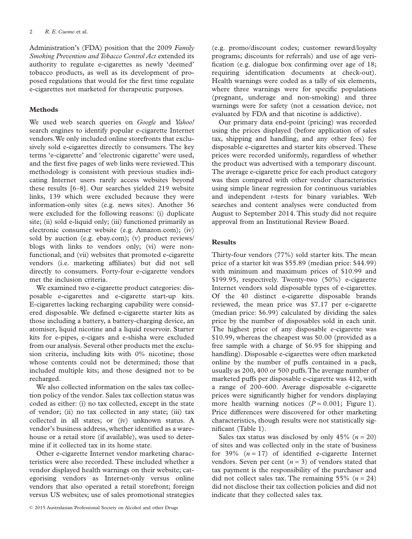Administration's (FDA) position that the 2009 *Family Smoking Prevention and Tobacco Control Act* extended its authority to regulate e-cigarettes as newly 'deemed' tobacco products, as well as its development of proposed regulations that would for the first time regulate e-cigarettes not marketed for therapeutic purposes.

#### **Methods**

We used web search queries on *Google* and *Yahoo!* search engines to identify popular e-cigarette Internet vendors.We only included online storefronts that exclusively sold e-cigarettes directly to consumers. The key terms 'e-cigarette' and 'electronic cigarette' were used, and the first five pages of web links were reviewed.This methodology is consistent with previous studies indicating Internet users rarely access websites beyond these results [6–8]. Our searches yielded 219 website links, 139 which were excluded because they were information-only sites (e.g. news sites). Another 36 were excluded for the following reasons: (i) duplicate site; (ii) sold e-liquid only; (iii) functioned primarily as electronic consumer website (e.g. [Amazon.com\)](http://Amazon.com); (iv) sold by auction (e.g. [ebay.com\)](http://ebay.com); (v) product reviews/ blogs with links to vendors only; (vi) were nonfunctional; and (vii) websites that promoted e-cigarette vendors (i.e. marketing affiliates) but did not sell directly to consumers. Forty-four e-cigarette vendors met the inclusion criteria.

We examined two e-cigarette product categories: disposable e-cigarettes and e-cigarette start-up kits. E-cigarettes lacking recharging capability were considered disposable. We defined e-cigarette starter kits as those including a battery, a battery-charging device, an atomiser, liquid nicotine and a liquid reservoir. Starter kits for e-pipes, e-cigars and e-shisha were excluded from our analysis. Several other products met the exclusion criteria, including kits with 0% nicotine; those whose contents could not be determined; those that included multiple kits; and those designed not to be recharged.

We also collected information on the sales tax collection policy of the vendor. Sales tax collection status was coded as either: (i) no tax collected, except in the state of vendor; (ii) no tax collected in any state; (iii) tax collected in all states; or (iv) unknown status. A vendor's business address, whether identified as a warehouse or a retail store (if available), was used to determine if it collected tax in its home state.

Other e-cigarette Internet vendor marketing characteristics were also recorded. These included whether a vendor displayed health warnings on their website; categorising vendors as Internet-only versus online vendors that also operated a retail storefront; foreign versus US websites; use of sales promotional strategies

(e.g. promo/discount codes; customer reward/loyalty programs; discounts for referrals) and use of age verification (e.g. dialogue box confirming over age of 18; requiring identification documents at check-out). Health warnings were coded as a tally of six elements, where three warnings were for specific populations (pregnant, underage and non-smoking) and three warnings were for safety (not a cessation device, not evaluated by FDA and that nicotine is addictive).

Our primary data end-point (pricing) was recorded using the prices displayed (before application of sales tax, shipping and handling, and any other fees) for disposable e-cigarettes and starter kits observed. These prices were recorded uniformly, regardless of whether the product was advertised with a temporary discount. The average e-cigarette price for each product category was then compared with other vendor characteristics using simple linear regression for continuous variables and independent *t*-tests for binary variables. Web searches and content analyses were conducted from August to September 2014. This study did not require approval from an Institutional Review Board.

#### **Results**

Thirty-four vendors (77%) sold starter kits. The mean price of a starter kit was \$55.89 (median price: \$44.99) with minimum and maximum prices of \$10.99 and \$199.95, respectively. Twenty-two (50%) e-cigarette Internet vendors sold disposable types of e-cigarettes. Of the 40 distinct e-cigarette disposable brands reviewed, the mean price was \$7.17 per e-cigarette (median price: \$6.99) calculated by dividing the sales price by the number of disposables sold in each unit. The highest price of any disposable e-cigarette was \$10.99, whereas the cheapest was \$0.00 (provided as a free sample with a charge of \$6.95 for shipping and handling). Disposable e-cigarettes were often marketed online by the number of puffs contained in a pack, usually as 200, 400 or 500 puffs.The average number of marketed puffs per disposable e-cigarette was 412, with a range of 200–600. Average disposable e-cigarette prices were significantly higher for vendors displaying more health warning notices  $(P = 0.001$ ; Figure 1). Price differences were discovered for other marketing characteristics, though results were not statistically significant (Table 1).

Sales tax status was disclosed by only  $45\%$  ( $n = 20$ ) of sites and was collected only in the state of business for  $39\%$   $(n = 17)$  of identified e-cigarette Internet vendors. Seven per cent  $(n = 3)$  of vendors stated that tax payment is the responsibility of the purchaser and did not collect sales tax. The remaining  $55\%$  ( $n = 24$ ) did not disclose their tax collection policies and did not indicate that they collected sales tax.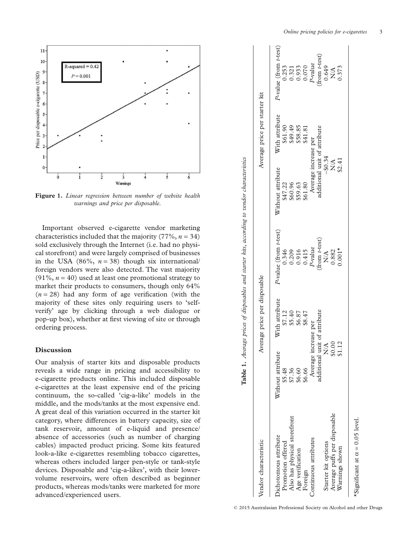

**Figure 1.** *Linear regression between number of website health warnings and price per disposable.*

Important observed e-cigarette vendor marketing characteristics included that the majority  $(77\%, n = 34)$ sold exclusively through the Internet (i.e. had no physical storefront) and were largely comprised of businesses in the USA  $(86\%, n=38)$  though six international/ foreign vendors were also detected. The vast majority  $(91\%, n = 40)$  used at least one promotional strategy to market their products to consumers, though only 64%  $(n = 28)$  had any form of age verification (with the majority of these sites only requiring users to 'selfverify' age by clicking through a web dialogue or pop-up box), whether at first viewing of site or through ordering process.

#### **Discussion**

Our analysis of starter kits and disposable products reveals a wide range in pricing and accessibility to e-cigarette products online. This included disposable e-cigarettes at the least expensive end of the pricing continuum, the so-called 'cig-a-like' models in the middle, and the mods/tanks at the most expensive end. A great deal of this variation occurred in the starter kit category, where differences in battery capacity, size of tank reservoir, amount of e-liquid and presence/ absence of accessories (such as number of charging cables) impacted product pricing. Some kits featured look-a-like e-cigarettes resembling tobacco cigarettes, whereas others included larger pen-style or tank-style devices. Disposable and 'cig-a-likes', with their lowervolume reservoirs, were often described as beginner products, whereas mods/tanks were marketed for more advanced/experienced users.

Table 1. Average prices of disposables and starter kits, according to vendor characteristics Table 1. Average prices of disposables and starter kits, according to vendor characteristics

| Vendor characteristic                                                                                                              |                                                                      | Average price per disposable                                           |                                                                                |                                                                                       | Average price per starter kit                                  |                                                                                                                              |
|------------------------------------------------------------------------------------------------------------------------------------|----------------------------------------------------------------------|------------------------------------------------------------------------|--------------------------------------------------------------------------------|---------------------------------------------------------------------------------------|----------------------------------------------------------------|------------------------------------------------------------------------------------------------------------------------------|
| Also has physical storefront<br>Dichotomous attribute<br>Continuous attributes<br>Promotion offered<br>Age verification<br>Foreign | Without attribute<br>Average<br>\$6.66<br>\$5.48<br>\$7.36<br>\$6.60 | With attribute<br>\$7.12<br>\$5.40<br>\$6.87<br>\$8.47<br>increase per | P-value (from t-test)<br>$0.346$<br>$0.209$<br>$0.916$<br>$0.415$<br>$P-value$ | Average increase per<br>Without attribute<br>\$47.22<br>\$60.96<br>\$59.63<br>\$61.80 | With attribute<br>$$61.90$<br>$$49.49$<br>$$58.85$<br>$$58.85$ | P-value (from t-test)<br>0.253<br>0.321<br>0.933<br>0.070<br>P-value<br>from <i>t</i> -test)<br>0.649<br>N/A<br>N/A<br>0.373 |
| Average puffs per disposable<br>Starter kit options<br>Warnings shown                                                              | \$0.00<br>\$1.12<br>$\overset{\triangle}{N}$<br>additional           | unit of attribute                                                      | from t-test)<br>$0.001*$<br>0.882<br>$\overline{N}$                            | additional unit of attribute<br>$-$ 80.34<br>N/A<br>$N$ A<br>82.41                    |                                                                |                                                                                                                              |
| $\star$ Significant at $\alpha = 0.05$ level.                                                                                      |                                                                      |                                                                        |                                                                                |                                                                                       |                                                                |                                                                                                                              |

© 2015 Australasian Professional Society on Alcohol and other Drugs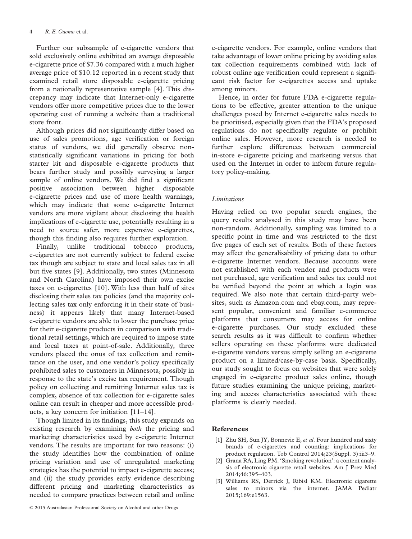Further our subsample of e-cigarette vendors that sold exclusively online exhibited an average disposable e-cigarette price of \$7.36 compared with a much higher average price of \$10.12 reported in a recent study that examined retail store disposable e-cigarette pricing from a nationally representative sample [4]. This discrepancy may indicate that Internet-only e-cigarette vendors offer more competitive prices due to the lower operating cost of running a website than a traditional store front.

Although prices did not significantly differ based on use of sales promotions, age verification or foreign status of vendors, we did generally observe nonstatistically significant variations in pricing for both starter kit and disposable e-cigarette products that bears further study and possibly surveying a larger sample of online vendors. We did find a significant positive association between higher disposable e-cigarette prices and use of more health warnings, which may indicate that some e-cigarette Internet vendors are more vigilant about disclosing the health implications of e-cigarette use, potentially resulting in a need to source safer, more expensive e-cigarettes, though this finding also requires further exploration.

Finally, unlike traditional tobacco products, e-cigarettes are not currently subject to federal excise tax though are subject to state and local sales tax in all but five states [9]. Additionally, two states (Minnesota and North Carolina) have imposed their own excise taxes on e-cigarettes [10]. With less than half of sites disclosing their sales tax policies (and the majority collecting sales tax only enforcing it in their state of business) it appears likely that many Internet-based e-cigarette vendors are able to lower the purchase price for their e-cigarette products in comparison with traditional retail settings, which are required to impose state and local taxes at point-of-sale. Additionally, three vendors placed the onus of tax collection and remittance on the user, and one vendor's policy specifically prohibited sales to customers in Minnesota, possibly in response to the state's excise tax requirement. Though policy on collecting and remitting Internet sales tax is complex, absence of tax collection for e-cigarette sales online can result in cheaper and more accessible products, a key concern for initiation [11–14].

Though limited in its findings, this study expands on existing research by examining *both* the pricing and marketing characteristics used by e-cigarette Internet vendors. The results are important for two reasons: (i) the study identifies how the combination of online pricing variation and use of unregulated marketing strategies has the potential to impact e-cigarette access; and (ii) the study provides early evidence describing different pricing and marketing characteristics as needed to compare practices between retail and online

e-cigarette vendors. For example, online vendors that take advantage of lower online pricing by avoiding sales tax collection requirements combined with lack of robust online age verification could represent a significant risk factor for e-cigarettes access and uptake among minors.

Hence, in order for future FDA e-cigarette regulations to be effective, greater attention to the unique challenges posed by Internet e-cigarette sales needs to be prioritised, especially given that the FDA's proposed regulations do not specifically regulate or prohibit online sales. However, more research is needed to further explore differences between commercial in-store e-cigarette pricing and marketing versus that used on the Internet in order to inform future regulatory policy-making.

#### *Limitations*

Having relied on two popular search engines, the query results analysed in this study may have been non-random. Additionally, sampling was limited to a specific point in time and was restricted to the first five pages of each set of results. Both of these factors may affect the generalisability of pricing data to other e-cigarette Internet vendors. Because accounts were not established with each vendor and products were not purchased, age verification and sales tax could not be verified beyond the point at which a login was required. We also note that certain third-party websites, such as [Amazon.com](http://Amazon.com) and [ebay.com,](http://ebay.com) may represent popular, convenient and familiar e-commerce platforms that consumers may access for online e-cigarette purchases. Our study excluded these search results as it was difficult to confirm whether sellers operating on these platforms were dedicated e-cigarette vendors versus simply selling an e-cigarette product on a limited/case-by-case basis. Specifically, our study sought to focus on websites that were solely engaged in e-cigarette product sales online, though future studies examining the unique pricing, marketing and access characteristics associated with these platforms is clearly needed.

#### **References**

- [1] Zhu SH, Sun JY, Bonnevie E, *et al*. Four hundred and sixty brands of e-cigarettes and counting: implications for product regulation. Tob Control 2014;23(Suppl. 3):iii3–9.
- [2] Grana RA, Ling PM. 'Smoking revolution': a content analysis of electronic cigarette retail websites. Am J Prev Med 2014;46:395–403.
- [3] Williams RS, Derrick J, Ribisl KM. Electronic cigarette sales to minors via the internet. JAMA Pediatr 2015;169:e1563.